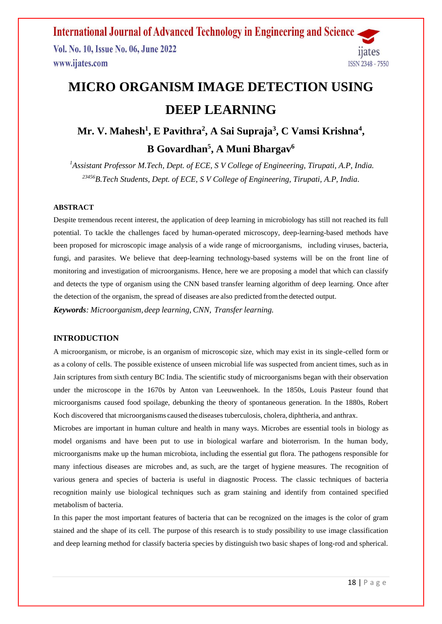Vol. No. 10, Issue No. 06, June 2022 www.ijates.com



# **MICRO ORGANISM IMAGE DETECTION USING DEEP LEARNING**

## **Mr. V. Mahesh 1 , E Pavithra<sup>2</sup> , A Sai Supraja<sup>3</sup> , C Vamsi Krishna<sup>4</sup> , B Govardhan<sup>5</sup> , A Muni Bhargav<sup>6</sup>**

*<sup>1</sup>Assistant Professor M.Tech, Dept. of ECE, S V College of Engineering, Tirupati, A.P, India. <sup>23456</sup>B.Tech Students, Dept. of ECE, S V College of Engineering, Tirupati, A.P, India.*

## **ABSTRACT**

Despite tremendous recent interest, the application of deep learning in microbiology has still not reached its full potential. To tackle the challenges faced by human-operated microscopy, deep-learning-based methods have been proposed for microscopic image analysis of a wide range of microorganisms, including viruses, bacteria, fungi, and parasites. We believe that deep-learning technology-based systems will be on the front line of monitoring and investigation of microorganisms. Hence, here we are proposing a model that which can classify and detects the type of organism using the CNN based transfer learning algorithm of deep learning. Once after the detection of the organism, the spread of diseases are also predicted fromthe detected output. *Keywords: Microorganism, deep learning, CNN, Transfer learning.*

### **INTRODUCTION**

A microorganism, or microbe, is an organism of microscopic size, which may exist in its single-celled form or as a colony of cells. The possible existence of unseen microbial life was suspected from ancient times, such as in Jain scriptures from sixth century BC India. The scientific study of microorganisms began with their observation under the microscope in the 1670s by Anton van Leeuwenhoek. In the 1850s, Louis Pasteur found that microorganisms caused food spoilage, debunking the theory of spontaneous generation. In the 1880s, Robert Koch discovered that microorganisms caused thediseases tuberculosis, cholera, diphtheria, and anthrax.

Microbes are important in human culture and health in many ways. Microbes are essential tools in biology as model organisms and have been put to use in biological warfare and bioterrorism. In the human body, microorganisms make up the human microbiota, including the essential gut flora. The pathogens responsible for many infectious diseases are microbes and, as such, are the target of hygiene measures. The recognition of various genera and species of bacteria is useful in diagnostic Process. The classic techniques of bacteria recognition mainly use biological techniques such as gram staining and identify from contained specified metabolism of bacteria.

In this paper the most important features of bacteria that can be recognized on the images is the color of gram stained and the shape of its cell. The purpose of this research is to study possibility to use image classification and deep learning method for classify bacteria species by distinguish two basic shapes of long-rod and spherical.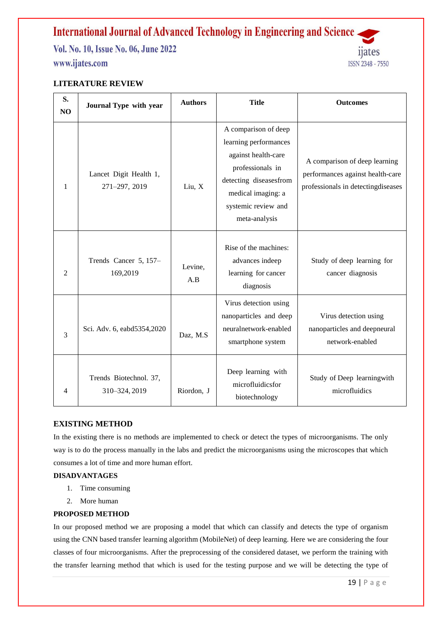Vol. No. 10, Issue No. 06, June 2022 www.ijates.com



## **LITERATURE REVIEW**

| S.<br>N <sub>O</sub> | Journal Type with year                  | <b>Authors</b> | <b>Title</b>                                                                                                                                                                     | <b>Outcomes</b>                                                                                         |
|----------------------|-----------------------------------------|----------------|----------------------------------------------------------------------------------------------------------------------------------------------------------------------------------|---------------------------------------------------------------------------------------------------------|
| 1                    | Lancet Digit Health 1,<br>271-297, 2019 | Liu, X         | A comparison of deep<br>learning performances<br>against health-care<br>professionals in<br>detecting diseasesfrom<br>medical imaging: a<br>systemic review and<br>meta-analysis | A comparison of deep learning<br>performances against health-care<br>professionals in detectingdiseases |
| $\overline{2}$       | Trends Cancer 5, 157-<br>169,2019       | Levine,<br>A.B | Rise of the machines:<br>advances indeep<br>learning for cancer<br>diagnosis                                                                                                     | Study of deep learning for<br>cancer diagnosis                                                          |
| 3                    | Sci. Adv. 6, eabd5354,2020              | Daz, M.S       | Virus detection using<br>nanoparticles and deep<br>neuralnetwork-enabled<br>smartphone system                                                                                    | Virus detection using<br>nanoparticles and deepneural<br>network-enabled                                |
| 4                    | Trends Biotechnol. 37,<br>310-324, 2019 | Riordon, J     | Deep learning with<br>microfluidicsfor<br>biotechnology                                                                                                                          | Study of Deep learningwith<br>microfluidics                                                             |

### **EXISTING METHOD**

In the existing there is no methods are implemented to check or detect the types of microorganisms. The only way is to do the process manually in the labs and predict the microorganisms using the microscopes that which consumes a lot of time and more human effort.

## **DISADVANTAGES**

- 1. Time consuming
- 2. More human

## **PROPOSED METHOD**

In our proposed method we are proposing a model that which can classify and detects the type of organism using the CNN based transfer learning algorithm (MobileNet) of deep learning. Here we are considering the four classes of four microorganisms. After the preprocessing of the considered dataset, we perform the training with the transfer learning method that which is used for the testing purpose and we will be detecting the type of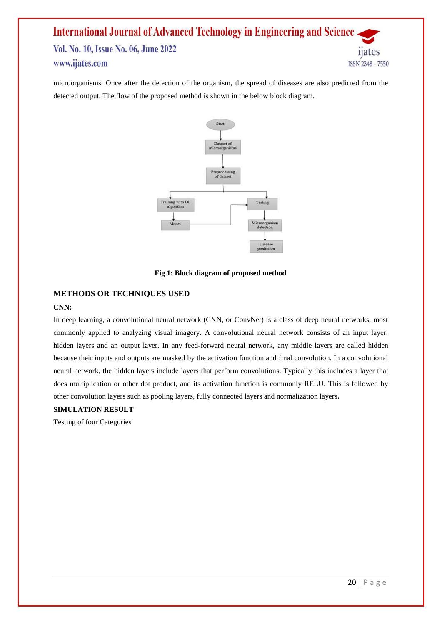## **International Journal of Advanced Technology in Engineering and Science** Vol. No. 10, Issue No. 06, June 2022 www.ijates.com ISSN 2348 - 7550

microorganisms. Once after the detection of the organism, the spread of diseases are also predicted from the detected output. The flow of the proposed method is shown in the below block diagram.



**Fig 1: Block diagram of proposed method**

## **METHODS OR TECHNIQUES USED**

## **CNN:**

In deep learning, a convolutional neural network (CNN, or ConvNet) is a class of deep neural networks, most commonly applied to analyzing visual imagery. A convolutional neural network consists of an input layer, hidden layers and an output layer. In any feed-forward neural network, any middle layers are called hidden because their inputs and outputs are masked by the activation function and final convolution. In a convolutional neural network, the hidden layers include layers that perform convolutions. Typically this includes a layer that does multiplication or other dot product, and its activation function is commonly RELU. This is followed by other convolution layers such as pooling layers, fully connected layers and normalization layers**.**

## **SIMULATION RESULT**

Testing of four Categories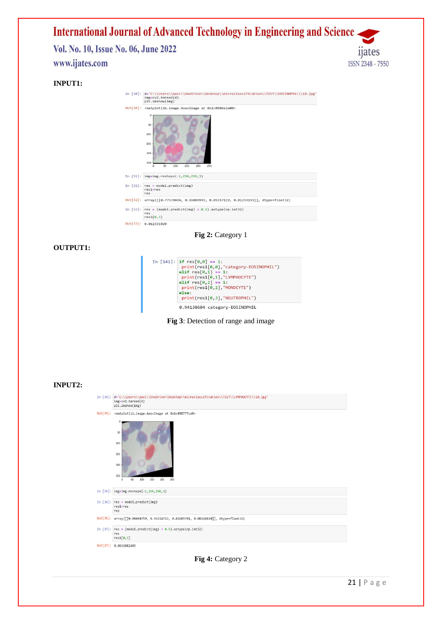

|            | hTr:Tm2ilom/TmR)                                                                          |  |  |
|------------|-------------------------------------------------------------------------------------------|--|--|
|            | Out[30]: <matplotlib.image.axesimage 0x1c0986e2a00="" at=""></matplotlib.image.axesimage> |  |  |
|            | o<br>50                                                                                   |  |  |
|            | 100                                                                                       |  |  |
|            | 150                                                                                       |  |  |
|            | 200                                                                                       |  |  |
|            | 250<br>50<br>150<br>200<br>100<br>250<br>O.                                               |  |  |
|            | In $[31]$ : img=img.reshape(-1,256,256,3)                                                 |  |  |
|            | In $[32]$ : res = model.predict(img)<br>$res1 = res$<br>res                               |  |  |
| Out[32]:   | array([[0.77539694, 0.16069993, 0.05157119, 0.01233193]], dtype=float32)                  |  |  |
| In $[33]:$ | $res = (model,predict(img) > 0.5).astype(np.int32)$<br>res<br>res1[0,3]                   |  |  |
|            | Out[33]: 0.012331929                                                                      |  |  |

**Fig 2:** Category 1

## **OUTPUT1:**

| In [141]: if $res[0,0] == 1$ :<br>print(res1[0,0],"category-EOSINOPHIL")<br>elif $res[0,1] == 1$ :<br>print(res1[0,1], "LYMPHOCYTE")<br>elif $res[0,2] == 1$ :<br>print(res1[0,2], "MONOCYTE")<br>Also:<br>$print(res1[0,3]$ , "NEUTROPHIL") |
|----------------------------------------------------------------------------------------------------------------------------------------------------------------------------------------------------------------------------------------------|
| 0.94138604 category-EOSINOPHIL                                                                                                                                                                                                               |
|                                                                                                                                                                                                                                              |

**Fig 3**: Detection of range and image

#### **INPUT2:**

| In [34]: d='C:\\Users\\pavi\\OneDrive\\Desktop\\microclassification\\TEST\\LYMPHOCYTE\\10.jpg'<br>$img=cv2.inread(d)$<br>plt.imshow(img) |  |  |  |
|------------------------------------------------------------------------------------------------------------------------------------------|--|--|--|
| Out[34]: <matplotlib.image.axesimage 0x1c098777cd0="" at=""></matplotlib.image.axesimage>                                                |  |  |  |
| O<br>50<br>100<br>150<br>200<br>250<br>200<br>150<br>50<br>100<br>250<br>$\Omega$                                                        |  |  |  |
| In $[35]$ : img=img.reshape(-1,256,256,3)                                                                                                |  |  |  |
| In $[36]$ : $res = model.predict(img)$<br>$res1 = res$<br>res                                                                            |  |  |  |
| Out[36]: array([[0.00804759, 0.96316713, 0.02609701, 0.00268824]], dtype=float32)                                                        |  |  |  |
| In [37]: res = (model.predict(img) > $0.5$ ).astype(np.int32)<br>res<br>res1[0,3]                                                        |  |  |  |
| Out[37]: 0.0026882405                                                                                                                    |  |  |  |

**Fig 4:** Category 2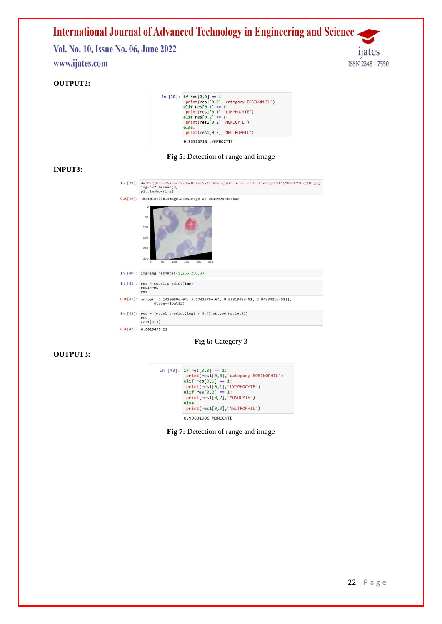Vol. No. 10, Issue No. 06, June 2022 www.ijates.com

## **OUTPUT2:**

| In [38]: if $res[0,0] == 1$ :<br>print(res1[0,0],"category-EOSINOPHIL") |
|-------------------------------------------------------------------------|
|                                                                         |
| elif $res[0,1] == 1$ :                                                  |
| print(res1[0,1], "LYMPHOCYTE")                                          |
| elif $res[0,2] == 1$ :                                                  |
| print(res1[0,2], "MONOCYTE")                                            |
| else:                                                                   |
| print(res1[0,3], "NEUTROPHIL")                                          |
|                                                                         |

## **Fig 5:** Detection of range and image

## **INPUT3:**

| In $[39]$ : | d='C:\\Users\\pavi\\OneDrive\\Desktop\\microclassification\\TEST\\MONOCYTE\\10.jpg'<br>$img=cv2 .imread(d)$<br>plt.imshow(img) |  |  |
|-------------|--------------------------------------------------------------------------------------------------------------------------------|--|--|
| Out[39]:    | <matplotlib.image.axesimage 0x1c0987dde80="" at=""></matplotlib.image.axesimage>                                               |  |  |
|             | $\mathbb O$<br>50<br>100<br>150<br>200<br>250<br>150<br>200<br>50<br>100<br>250<br>$\Omega$                                    |  |  |
| In $[40]:$  | $img = img \cdot reshape(-1, 256, 256, 3)$                                                                                     |  |  |
|             | In $[41]$ : $res = model.predict(img)$<br>$res1 = res$<br>res                                                                  |  |  |
|             | Out[41]: array([[2.1410050e-04, 5.1742676e-04, 9.9631906e-01, 2.9493421e-03]],<br>dtype=float32)                               |  |  |
| In $[42]$ : | $res = (model.predict(img) > 0.5).astype(np.int32)$<br>res<br>res1[0,3]                                                        |  |  |
|             |                                                                                                                                |  |  |

**Fig 6:** Category 3

## **OUTPUT3:**

| In [43]: if $res[0,0] == 1$ :          |
|----------------------------------------|
| print(res1[0,0],"category-EOSINOPHIL") |
| elif $res[0,1] == 1$ :                 |
| $print(res1[0,1]$ , "LYMPHOCYTE")      |
| elif $res[0,2] == 1$ :                 |
| $print(res1[0,2]$ , "MONOCYTE")        |
| else:                                  |
| $print(res1[0,3]$ , "NEUTROPHIL")      |
| 0.99631906 MONOCYTE                    |

**Fig 7:** Detection of range and image

11ates

ISSN 2348 - 7550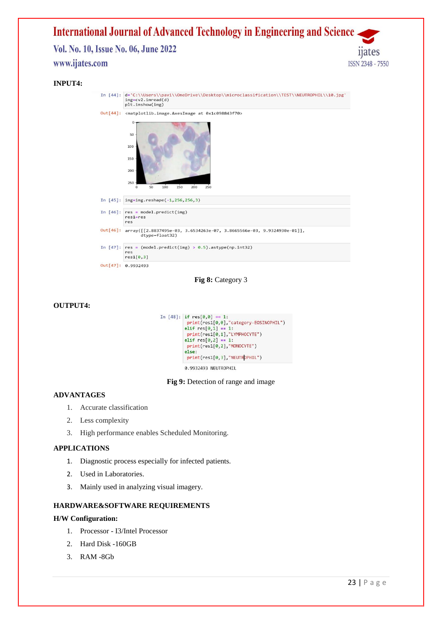## **International Journal of Advanced Technology in Engineering and Science** Vol. No. 10, Issue No. 06, June 2022 www.ijates.com ISSN 2348 - 7550

#### **INPUT4:**



**Fig 8:** Category 3

#### **OUTPUT4:**

```
In [48]: if res[0,0] == 1:
 print(res1[0,0],"category-EOSINOPHIL")
elif res[0,1] == 1:
 print(res1[0,1],"LYMPHOCYTE")
elif res[0,2] == 1:
 print(res1[0,2], "MONOCYTE")
else:
 print(res1[0,3], "NEUTROPHIL")
```
0.9932493 NEUTROPHIL

#### **Fig 9:** Detection of range and image

## **ADVANTAGES**

- 1. Accurate classification
- 2. Less complexity
- 3. High performance enables Scheduled Monitoring.

#### **APPLICATIONS**

- 1. Diagnostic process especially for infected patients.
- 2. Used in Laboratories.
- 3. Mainly used in analyzing visual imagery.

### **HARDWARE&SOFTWARE REQUIREMENTS**

### **H/W Configuration:**

- 1. Processor I3/Intel Processor
- 2. Hard Disk -160GB
- 3. RAM -8Gb